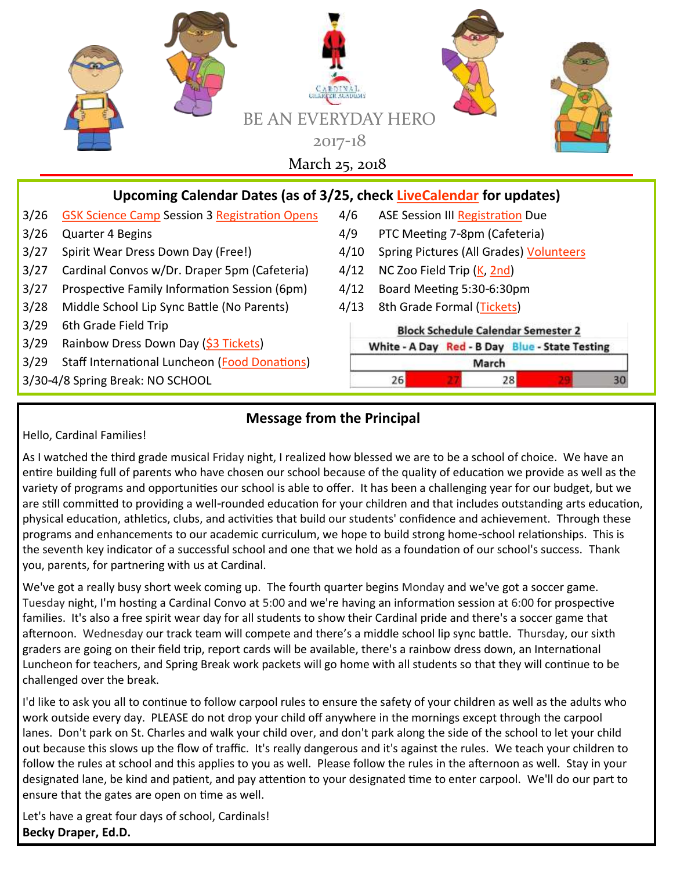

## **Message from the Principal**

Hello, Cardinal Families!

As I watched the third grade musical Friday night, I realized how blessed we are to be a school of choice. We have an entire building full of parents who have chosen our school because of the quality of education we provide as well as the variety of programs and opportunities our school is able to offer. It has been a challenging year for our budget, but we are still committed to providing a well-rounded education for your children and that includes outstanding arts education, physical education, athletics, clubs, and activities that build our students' confidence and achievement. Through these programs and enhancements to our academic curriculum, we hope to build strong home-school relationships. This is the seventh key indicator of a successful school and one that we hold as a foundation of our school's success. Thank you, parents, for partnering with us at Cardinal.

We've got a really busy short week coming up. The fourth quarter begins Monday and we've got a soccer game. Tuesday night, I'm hosting a Cardinal Convo at 5:00 and we're having an information session at 6:00 for prospective families. It's also a free spirit wear day for all students to show their Cardinal pride and there's a soccer game that afternoon. Wednesday our track team will compete and there's a middle school lip sync battle. Thursday, our sixth graders are going on their field trip, report cards will be available, there's a rainbow dress down, an International Luncheon for teachers, and Spring Break work packets will go home with all students so that they will continue to be challenged over the break.

I'd like to ask you all to continue to follow carpool rules to ensure the safety of your children as well as the adults who work outside every day. PLEASE do not drop your child off anywhere in the mornings except through the carpool lanes. Don't park on St. Charles and walk your child over, and don't park along the side of the school to let your child out because this slows up the flow of traffic. It's really dangerous and it's against the rules. We teach your children to follow the rules at school and this applies to you as well. Please follow the rules in the afternoon as well. Stay in your designated lane, be kind and patient, and pay attention to your designated time to enter carpool. We'll do our part to ensure that the gates are open on time as well.

Let's have a great four days of school, Cardinals! **Becky Draper, Ed.D.**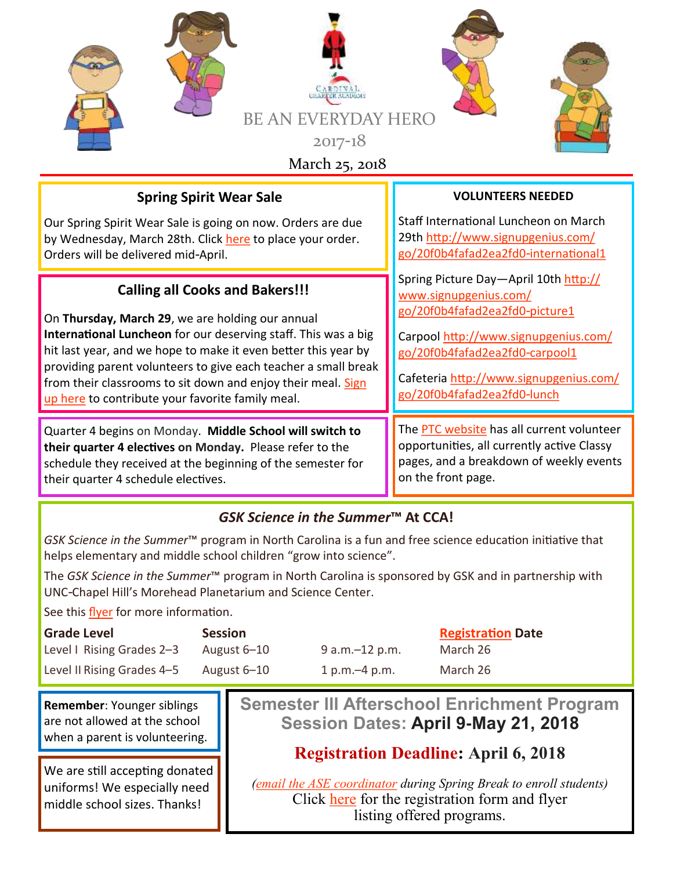

## **Spring Spirit Wear Sale**

Our Spring Spirit Wear Sale is going on now. Orders are due by Wednesday, March 28th. Click [here](https://give.classy.org/springspiritwear) to place your order. Orders will be delivered mid-April.

#### **Calling all Cooks and Bakers!!!**

On **Thursday, March 29**, we are holding our annual **International Luncheon** for our deserving staff. This was a big hit last year, and we hope to make it even better this year by providing parent volunteers to give each teacher a small break from their classrooms to sit down and enjoy their meal. [Sign](http://www.signupgenius.com/go/20f0b4fafad2ea2fd0-international1)  [up here](http://www.signupgenius.com/go/20f0b4fafad2ea2fd0-international1) to contribute your favorite family meal.

Quarter 4 begins on Monday. **Middle School will switch to their quarter 4 electives on Monday.** Please refer to the schedule they received at the beginning of the semester for their quarter 4 schedule electives.

#### **VOLUNTEERS NEEDED**

Staff International Luncheon on March 29th [http://www.signupgenius.com/](http://www.signupgenius.com/go/20f0b4fafad2ea2fd0-international1) [go/20f0b4fafad2ea2fd0-international1](http://www.signupgenius.com/go/20f0b4fafad2ea2fd0-international1)

Spring Picture Day—April 10th [http://](http://www.signupgenius.com/go/20f0b4fafad2ea2fd0-picture1) [www.signupgenius.com/](http://www.signupgenius.com/go/20f0b4fafad2ea2fd0-picture1) [go/20f0b4fafad2ea2fd0-picture1](http://www.signupgenius.com/go/20f0b4fafad2ea2fd0-picture1)

Carpool [http://www.signupgenius.com/](http://www.signupgenius.com/go/20f0b4fafad2ea2fd0-carpool1) [go/20f0b4fafad2ea2fd0-carpool1](http://www.signupgenius.com/go/20f0b4fafad2ea2fd0-carpool1)

Cafeteria [http://www.signupgenius.com/](http://www.signupgenius.com/go/20f0b4fafad2ea2fd0-lunch) [go/20f0b4fafad2ea2fd0-lunch](http://www.signupgenius.com/go/20f0b4fafad2ea2fd0-lunch)

The [PTC website](https://ccaptccary.org/) has all current volunteer opportunities, all currently active Classy pages, and a breakdown of weekly events on the front page.

## *GSK Science in the Summer***™ At CCA!**

*GSK Science in the Summer*™ program in North Carolina is a fun and free science education initiative that helps elementary and middle school children "grow into science".

The *GSK Science in the Summer*™ program in North Carolina is sponsored by GSK and in partnership with UNC-Chapel Hill's Morehead Planetarium and Science Center.

See this [flyer](https://ccaptccary.org/wp-content/uploads/2018/02/Cardinal-Charter-Academy.pdf) for more information.

| <b>Grade Level</b>         | <b>Session</b> |                  | <b>Registration Date</b> |
|----------------------------|----------------|------------------|--------------------------|
| Level I Rising Grades 2-3  | August 6–10    | $9 a.m.-12 p.m.$ | March 26                 |
| Level II Rising Grades 4-5 | August 6–10    | 1 p.m. $-4$ p.m. | March 26                 |

**Remember**: Younger siblings are not allowed at the school when a parent is volunteering.

We are still accepting donated uniforms! We especially need middle school sizes. Thanks!

**Semester lll Afterschool Enrichment Program Session Dates: April 9-May 21, 2018**

# **Registration Deadline: April 6, 2018**

*[\(email the ASE coordinator](mailto:smcdowell@cardinalcharter.org) during Spring Break to enroll students)* Click [here](https://ccaptccary.org/wp-content/uploads/2018/03/Session-lll.pdf) for the registration form and flyer listing offered programs.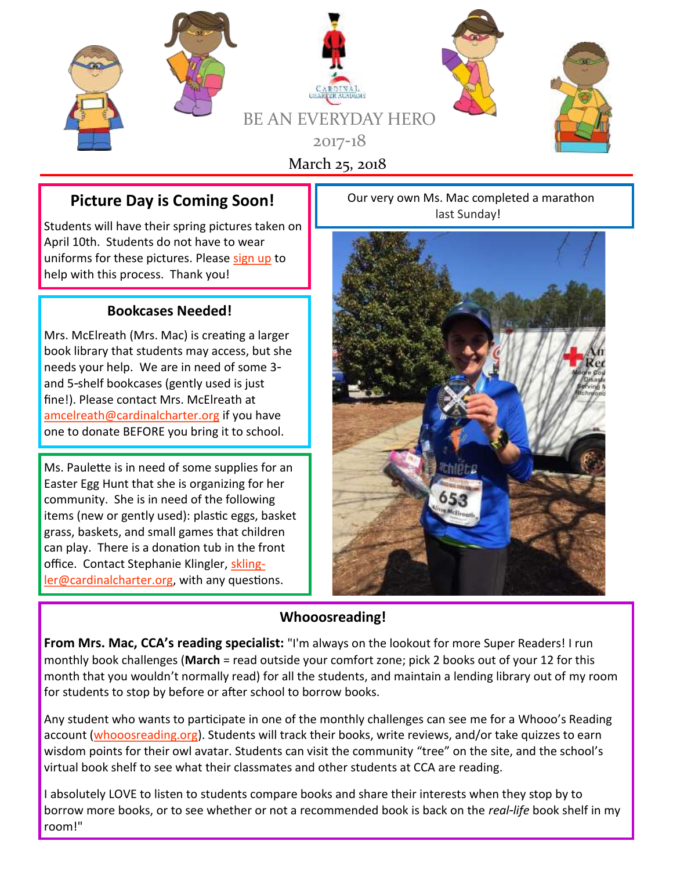

## **Picture Day is Coming Soon!**

Students will have their spring pictures taken on April 10th. Students do not have to wear uniforms for these pictures. Please [sign up](http://www.signupgenius.com/go/20f0b4fafad2ea2fd0-picture1) to help with this process. Thank you!

#### **Bookcases Needed!**

Mrs. McElreath (Mrs. Mac) is creating a larger book library that students may access, but she needs your help. We are in need of some 3 and 5-shelf bookcases (gently used is just fine!). Please contact Mrs. McElreath at [amcelreath@cardinalcharter.org](mailto:amcelreath@cardinalcharter.org) if you have one to donate BEFORE you bring it to school.

Ms. Paulette is in need of some supplies for an Easter Egg Hunt that she is organizing for her community. She is in need of the following items (new or gently used): plastic eggs, basket grass, baskets, and small games that children can play. There is a donation tub in the front office. Contact Stephanie Klingler, [skling](mailto:sklingler@cardinalcharter.org)[ler@cardinalcharter.org,](mailto:sklingler@cardinalcharter.org) with any questions.

Our very own Ms. Mac completed a marathon last Sunday!



#### **Whooosreading!**

**From Mrs. Mac, CCA's reading specialist:** "I'm always on the lookout for more Super Readers! I run monthly book challenges (**March** = read outside your comfort zone; pick 2 books out of your 12 for this month that you wouldn't normally read) for all the students, and maintain a lending library out of my room for students to stop by before or after school to borrow books.

Any student who wants to participate in one of the monthly challenges can see me for a Whooo's Reading account [\(whooosreading.org\).](http://whooosreading.org/) Students will track their books, write reviews, and/or take quizzes to earn wisdom points for their owl avatar. Students can visit the community "tree" on the site, and the school's virtual book shelf to see what their classmates and other students at CCA are reading.

I absolutely LOVE to listen to students compare books and share their interests when they stop by to borrow more books, or to see whether or not a recommended book is back on the *real-life* book shelf in my room!"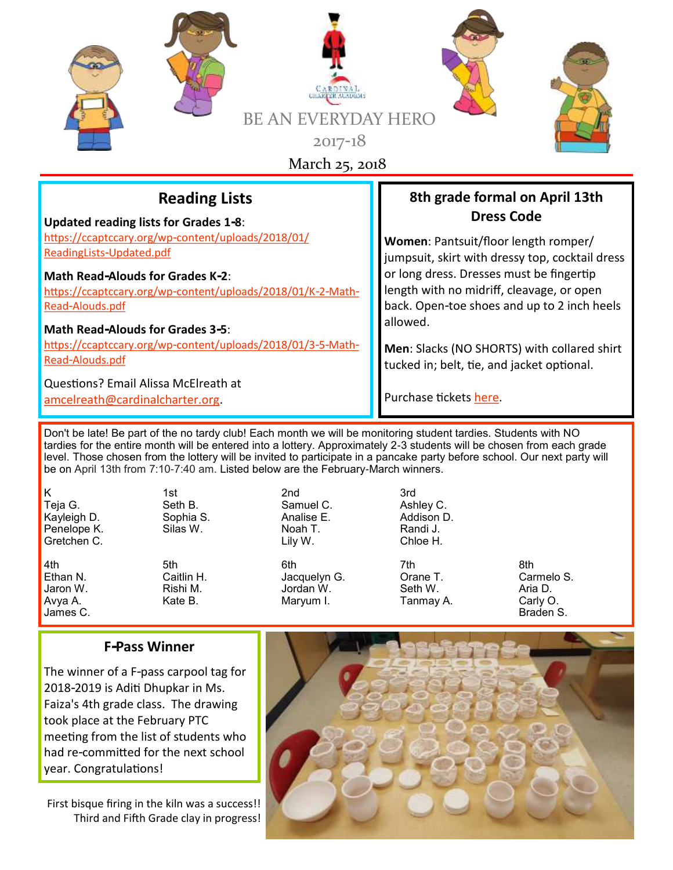| <b>BE AN EVERYD</b><br>$2017-18$<br>March 25, 2018                                                                                                        | <b>HERC</b>                                                                                                         |  |
|-----------------------------------------------------------------------------------------------------------------------------------------------------------|---------------------------------------------------------------------------------------------------------------------|--|
| <b>Reading Lists</b>                                                                                                                                      | 8th grade formal on April 13th                                                                                      |  |
| <b>Updated reading lists for Grades 1-8:</b>                                                                                                              | <b>Dress Code</b>                                                                                                   |  |
| https://ccaptccary.org/wp-content/uploads/2018/01/                                                                                                        | Women: Pantsuit/floor length romper/                                                                                |  |
| ReadingLists-Updated.pdf                                                                                                                                  | jumpsuit, skirt with dressy top, cocktail dress                                                                     |  |
| <b>Math Read-Alouds for Grades K-2:</b>                                                                                                                   | or long dress. Dresses must be fingertip                                                                            |  |
| https://ccaptccary.org/wp-content/uploads/2018/01/K-2-Math-                                                                                               | length with no midriff, cleavage, or open                                                                           |  |
| Read-Alouds.pdf                                                                                                                                           | back. Open-toe shoes and up to 2 inch heels                                                                         |  |
| <b>Math Read-Alouds for Grades 3-5:</b>                                                                                                                   | allowed.                                                                                                            |  |
| https://ccaptccary.org/wp-content/uploads/2018/01/3-5-Math-<br>Read-Alouds.pdf<br>Questions? Email Alissa McElreath at<br>amcelreath@cardinalcharter.org. | Men: Slacks (NO SHORTS) with collared shirt<br>tucked in; belt, tie, and jacket optional.<br>Purchase tickets here. |  |

Don't be late! Be part of the no tardy club! Each month we will be monitoring student tardies. Students with NO tardies for the entire month will be entered into a lottery. Approximately 2-3 students will be chosen from each grade level. Those chosen from the lottery will be invited to participate in a pancake party before school. Our next party will be on April 13th from 7:10-7:40 am. Listed below are the February-March winners.

K 1st 2nd 3rd Teja G. Seth B. Samuel C. Ashley C. Kayleigh D. Sophia S. Analise E. A. Sophia<br>Penelope K. Analis Bilas W. Penelope K. Silas W. Noah T. Randi J.<br>Gretchen C. Silas W. Lily W. Chloe H. Gretchen C.

4th 5th 6th 7th 8th Ethan N. Caitlin H. Jacquelyn G. Orane T. Carmelo S. Jaron W. Rishi M. Jordan W. Seth W. Aria D. Avya A. Kate B. Maryum I. Tanmay A. Carly O.

James C. Braden S.

## **F-Pass Winner**

The winner of a F-pass carpool tag for 2018-2019 is Aditi Dhupkar in Ms. Faiza's 4th grade class. The drawing took place at the February PTC meeting from the list of students who had re-committed for the next school year. Congratulations!

First bisque firing in the kiln was a success!! Third and Fifth Grade clay in progress!

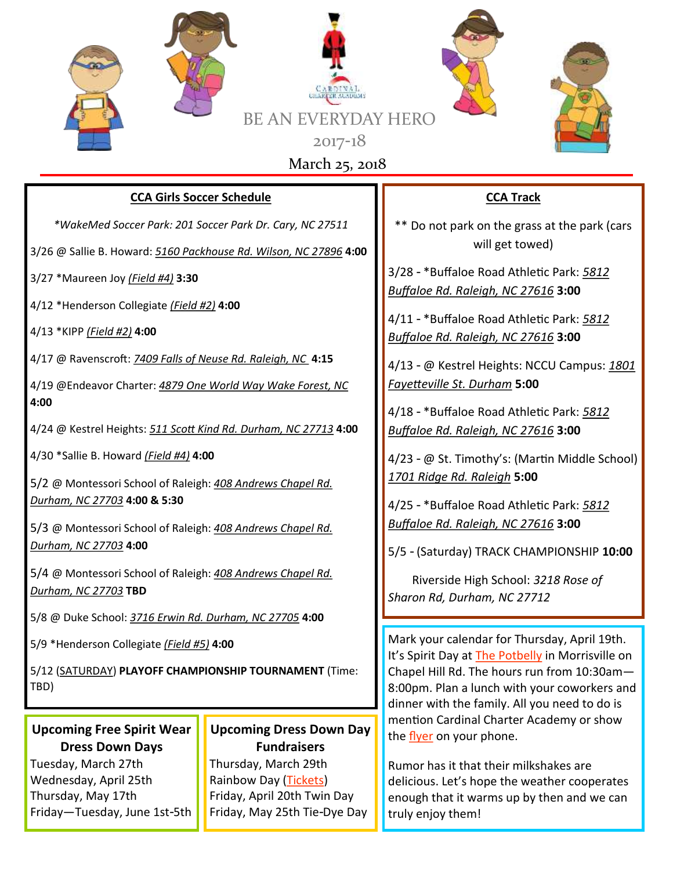

#### **CCA Girls Soccer Schedule**

*\*WakeMed Soccer Park: 201 Soccer Park Dr. Cary, NC 27511*

3/26 @ Sallie B. Howard: *5160 Packhouse Rd. Wilson, NC 27896* **4:00**

3/27 \*Maureen Joy *(Field #4)* **3:30**

4/12 \*Henderson Collegiate *(Field #2)* **4:00**

4/13 \*KIPP *(Field #2)* **4:00**

4/17 @ Ravenscroft: *7409 Falls of Neuse Rd. Raleigh, NC* **4:15**

4/19 @Endeavor Charter: *4879 One World Way Wake Forest, NC* **4:00**

4/24 @ Kestrel Heights: *511 Scott Kind Rd. Durham, NC 27713* **4:00**

4/30 \*Sallie B. Howard *(Field #4)* **4:00**

5/2 @ Montessori School of Raleigh: *408 Andrews Chapel Rd. Durham, NC 27703* **4:00 & 5:30**

5/3 @ Montessori School of Raleigh: *408 Andrews Chapel Rd. Durham, NC 27703* **4:00**

5/4 @ Montessori School of Raleigh: *408 Andrews Chapel Rd. Durham, NC 27703* **TBD**

5/8 @ Duke School: *3716 Erwin Rd. Durham, NC 27705* **4:00**

5/9 \*Henderson Collegiate *(Field #5)* **4:00**

5/12 (SATURDAY) **PLAYOFF CHAMPIONSHIP TOURNAMENT** (Time: TBD)

# **Upcoming Free Spirit Wear Dress Down Days**

Tuesday, March 27th Wednesday, April 25th Thursday, May 17th Friday—Tuesday, June 1st-5th

## **Upcoming Dress Down Day Fundraisers**

Thursday, March 29th Rainbow Day ([Tickets\)](https://give.classy.org/CCAPTC2018dressDown6Rainbow) Friday, April 20th Twin Day Friday, May 25th Tie-Dye Day

## **CCA Track**

\*\* Do not park on the grass at the park (cars will get towed)

3/28 - \*Buffaloe Road Athletic Park: *5812 Buffaloe Rd. Raleigh, NC 27616* **3:00**

4/11 - \*Buffaloe Road Athletic Park: *5812 Buffaloe Rd. Raleigh, NC 27616* **3:00**

4/13 - @ Kestrel Heights: NCCU Campus: *1801 Fayetteville St. Durham* **5:00**

4/18 - \*Buffaloe Road Athletic Park: *5812 Buffaloe Rd. Raleigh, NC 27616* **3:00**

4/23 - @ St. Timothy's: (Martin Middle School) *1701 Ridge Rd. Raleigh* **5:00**

4/25 - \*Buffaloe Road Athletic Park: *5812 Buffaloe Rd. Raleigh, NC 27616* **3:00**

5/5 - (Saturday) TRACK CHAMPIONSHIP **10:00**

 Riverside High School: *3218 Rose of Sharon Rd, Durham, NC 27712*

Mark your calendar for Thursday, April 19th. It's Spirit Day at [The Potbelly](https://ccaptccary.org/wp-content/uploads/2018/03/PotbellySpring2018SpiritNight.pdf) in Morrisville on Chapel Hill Rd. The hours run from 10:30am— 8:00pm. Plan a lunch with your coworkers and dinner with the family. All you need to do is mention Cardinal Charter Academy or show the [flyer](https://ccaptccary.org/wp-content/uploads/2018/03/PotbellySpring2018SpiritNight.pdf) on your phone.

Rumor has it that their milkshakes are delicious. Let's hope the weather cooperates enough that it warms up by then and we can truly enjoy them!